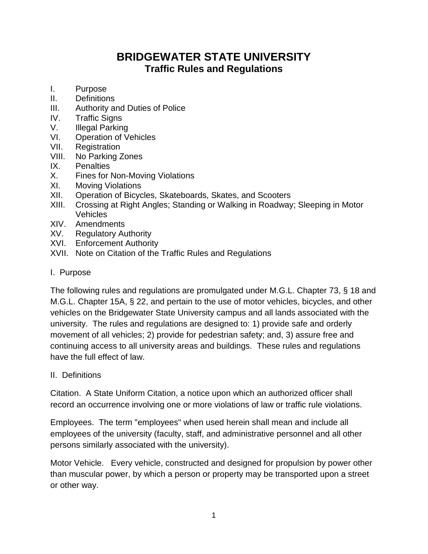# **BRIDGEWATER STATE UNIVERSITY Traffic Rules and Regulations**

- I. Purpose
- II. Definitions
- III. Authority and Duties of Police
- IV. Traffic Signs
- V. Illegal Parking
- VI. Operation of Vehicles
- VII. Registration
- VIII. No Parking Zones
- IX. Penalties
- X. Fines for Non-Moving Violations
- XI. Moving Violations
- XII. Operation of Bicycles, Skateboards, Skates, and Scooters
- XIII. Crossing at Right Angles; Standing or Walking in Roadway; Sleeping in Motor Vehicles
- XIV. Amendments
- XV. Regulatory Authority
- XVI. Enforcement Authority
- XVII. Note on Citation of the Traffic Rules and Regulations
- I. Purpose

The following rules and regulations are promulgated under M.G.L. Chapter 73, § 18 and M.G.L. Chapter 15A, § 22, and pertain to the use of motor vehicles, bicycles, and other vehicles on the Bridgewater State University campus and all lands associated with the university. The rules and regulations are designed to: 1) provide safe and orderly movement of all vehicles; 2) provide for pedestrian safety; and, 3) assure free and continuing access to all university areas and buildings. These rules and regulations have the full effect of law.

II. Definitions

Citation. A State Uniform Citation, a notice upon which an authorized officer shall record an occurrence involving one or more violations of law or traffic rule violations.

Employees. The term "employees" when used herein shall mean and include all employees of the university (faculty, staff, and administrative personnel and all other persons similarly associated with the university).

Motor Vehicle. Every vehicle, constructed and designed for propulsion by power other than muscular power, by which a person or property may be transported upon a street or other way.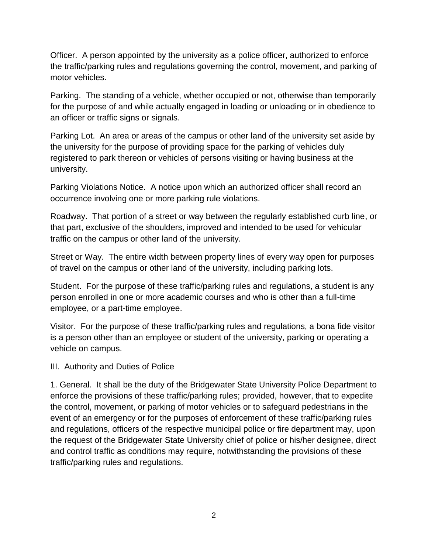Officer. A person appointed by the university as a police officer, authorized to enforce the traffic/parking rules and regulations governing the control, movement, and parking of motor vehicles.

Parking. The standing of a vehicle, whether occupied or not, otherwise than temporarily for the purpose of and while actually engaged in loading or unloading or in obedience to an officer or traffic signs or signals.

Parking Lot. An area or areas of the campus or other land of the university set aside by the university for the purpose of providing space for the parking of vehicles duly registered to park thereon or vehicles of persons visiting or having business at the university.

Parking Violations Notice. A notice upon which an authorized officer shall record an occurrence involving one or more parking rule violations.

Roadway. That portion of a street or way between the regularly established curb line, or that part, exclusive of the shoulders, improved and intended to be used for vehicular traffic on the campus or other land of the university.

Street or Way. The entire width between property lines of every way open for purposes of travel on the campus or other land of the university, including parking lots.

Student. For the purpose of these traffic/parking rules and regulations, a student is any person enrolled in one or more academic courses and who is other than a full-time employee, or a part-time employee.

Visitor. For the purpose of these traffic/parking rules and regulations, a bona fide visitor is a person other than an employee or student of the university, parking or operating a vehicle on campus.

III. Authority and Duties of Police

1. General. It shall be the duty of the Bridgewater State University Police Department to enforce the provisions of these traffic/parking rules; provided, however, that to expedite the control, movement, or parking of motor vehicles or to safeguard pedestrians in the event of an emergency or for the purposes of enforcement of these traffic/parking rules and regulations, officers of the respective municipal police or fire department may, upon the request of the Bridgewater State University chief of police or his/her designee, direct and control traffic as conditions may require, notwithstanding the provisions of these traffic/parking rules and regulations.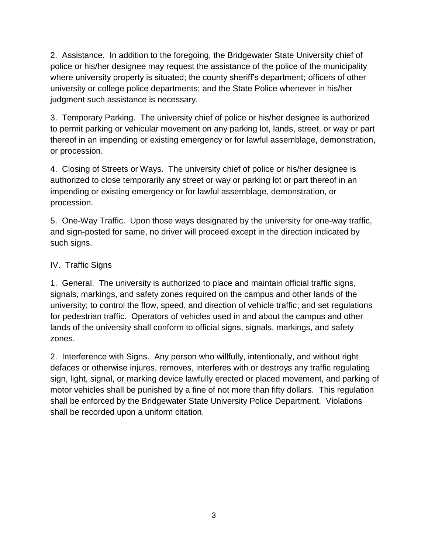2. Assistance. In addition to the foregoing, the Bridgewater State University chief of police or his/her designee may request the assistance of the police of the municipality where university property is situated; the county sheriff's department; officers of other university or college police departments; and the State Police whenever in his/her judgment such assistance is necessary.

3. Temporary Parking. The university chief of police or his/her designee is authorized to permit parking or vehicular movement on any parking lot, lands, street, or way or part thereof in an impending or existing emergency or for lawful assemblage, demonstration, or procession.

4. Closing of Streets or Ways. The university chief of police or his/her designee is authorized to close temporarily any street or way or parking lot or part thereof in an impending or existing emergency or for lawful assemblage, demonstration, or procession.

5. One-Way Traffic. Upon those ways designated by the university for one-way traffic, and sign-posted for same, no driver will proceed except in the direction indicated by such signs.

## IV. Traffic Signs

1. General. The university is authorized to place and maintain official traffic signs, signals, markings, and safety zones required on the campus and other lands of the university; to control the flow, speed, and direction of vehicle traffic; and set regulations for pedestrian traffic. Operators of vehicles used in and about the campus and other lands of the university shall conform to official signs, signals, markings, and safety zones.

2. Interference with Signs. Any person who willfully, intentionally, and without right defaces or otherwise injures, removes, interferes with or destroys any traffic regulating sign, light, signal, or marking device lawfully erected or placed movement, and parking of motor vehicles shall be punished by a fine of not more than fifty dollars. This regulation shall be enforced by the Bridgewater State University Police Department. Violations shall be recorded upon a uniform citation.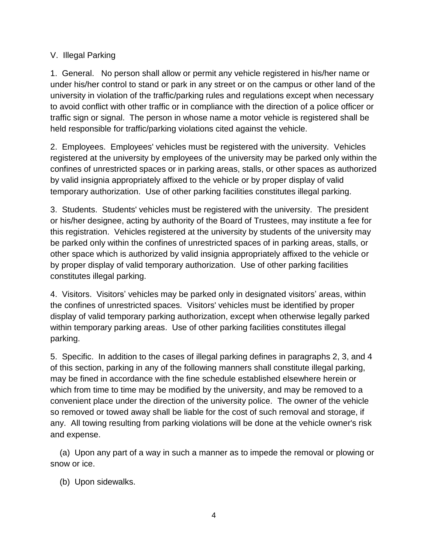## V. Illegal Parking

1. General. No person shall allow or permit any vehicle registered in his/her name or under his/her control to stand or park in any street or on the campus or other land of the university in violation of the traffic/parking rules and regulations except when necessary to avoid conflict with other traffic or in compliance with the direction of a police officer or traffic sign or signal. The person in whose name a motor vehicle is registered shall be held responsible for traffic/parking violations cited against the vehicle.

2. Employees. Employees' vehicles must be registered with the university. Vehicles registered at the university by employees of the university may be parked only within the confines of unrestricted spaces or in parking areas, stalls, or other spaces as authorized by valid insignia appropriately affixed to the vehicle or by proper display of valid temporary authorization. Use of other parking facilities constitutes illegal parking.

3. Students. Students' vehicles must be registered with the university. The president or his/her designee, acting by authority of the Board of Trustees, may institute a fee for this registration. Vehicles registered at the university by students of the university may be parked only within the confines of unrestricted spaces of in parking areas, stalls, or other space which is authorized by valid insignia appropriately affixed to the vehicle or by proper display of valid temporary authorization. Use of other parking facilities constitutes illegal parking.

4. Visitors. Visitors' vehicles may be parked only in designated visitors' areas, within the confines of unrestricted spaces. Visitors' vehicles must be identified by proper display of valid temporary parking authorization, except when otherwise legally parked within temporary parking areas. Use of other parking facilities constitutes illegal parking.

5. Specific. In addition to the cases of illegal parking defines in paragraphs 2, 3, and 4 of this section, parking in any of the following manners shall constitute illegal parking, may be fined in accordance with the fine schedule established elsewhere herein or which from time to time may be modified by the university, and may be removed to a convenient place under the direction of the university police. The owner of the vehicle so removed or towed away shall be liable for the cost of such removal and storage, if any. All towing resulting from parking violations will be done at the vehicle owner's risk and expense.

 (a) Upon any part of a way in such a manner as to impede the removal or plowing or snow or ice.

(b) Upon sidewalks.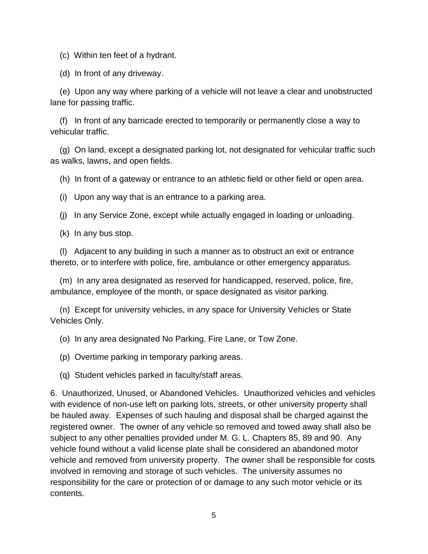(c) Within ten feet of a hydrant.

(d) In front of any driveway.

 (e) Upon any way where parking of a vehicle will not leave a clear and unobstructed lane for passing traffic.

 (f) In front of any barricade erected to temporarily or permanently close a way to vehicular traffic.

 (g) On land, except a designated parking lot, not designated for vehicular traffic such as walks, lawns, and open fields.

(h) In front of a gateway or entrance to an athletic field or other field or open area.

(i) Upon any way that is an entrance to a parking area.

(j) In any Service Zone, except while actually engaged in loading or unloading.

(k) In any bus stop.

 (l) Adjacent to any building in such a manner as to obstruct an exit or entrance thereto, or to interfere with police, fire, ambulance or other emergency apparatus.

 (m) In any area designated as reserved for handicapped, reserved, police, fire, ambulance, employee of the month, or space designated as visitor parking.

 (n) Except for university vehicles, in any space for University Vehicles or State Vehicles Only.

(o) In any area designated No Parking, Fire Lane, or Tow Zone.

(p) Overtime parking in temporary parking areas.

(q) Student vehicles parked in faculty/staff areas.

6. Unauthorized, Unused, or Abandoned Vehicles. Unauthorized vehicles and vehicles with evidence of non-use left on parking lots, streets, or other university property shall be hauled away. Expenses of such hauling and disposal shall be charged against the registered owner. The owner of any vehicle so removed and towed away shall also be subject to any other penalties provided under M. G. L. Chapters 85, 89 and 90. Any vehicle found without a valid license plate shall be considered an abandoned motor vehicle and removed from university property. The owner shall be responsible for costs involved in removing and storage of such vehicles. The university assumes no responsibility for the care or protection of or damage to any such motor vehicle or its contents.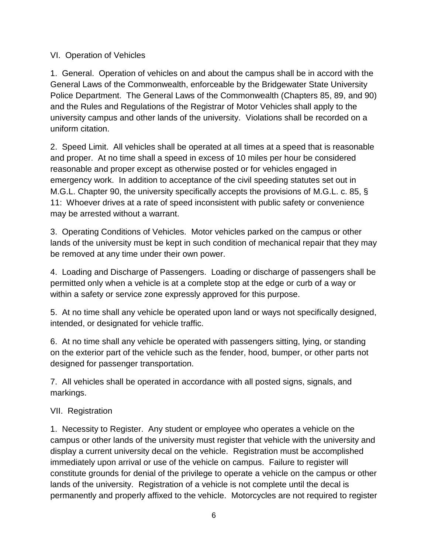## VI. Operation of Vehicles

1. General. Operation of vehicles on and about the campus shall be in accord with the General Laws of the Commonwealth, enforceable by the Bridgewater State University Police Department. The General Laws of the Commonwealth (Chapters 85, 89, and 90) and the Rules and Regulations of the Registrar of Motor Vehicles shall apply to the university campus and other lands of the university. Violations shall be recorded on a uniform citation.

2. Speed Limit. All vehicles shall be operated at all times at a speed that is reasonable and proper. At no time shall a speed in excess of 10 miles per hour be considered reasonable and proper except as otherwise posted or for vehicles engaged in emergency work. In addition to acceptance of the civil speeding statutes set out in M.G.L. Chapter 90, the university specifically accepts the provisions of M.G.L. c. 85, § 11: Whoever drives at a rate of speed inconsistent with public safety or convenience may be arrested without a warrant.

3. Operating Conditions of Vehicles. Motor vehicles parked on the campus or other lands of the university must be kept in such condition of mechanical repair that they may be removed at any time under their own power.

4. Loading and Discharge of Passengers. Loading or discharge of passengers shall be permitted only when a vehicle is at a complete stop at the edge or curb of a way or within a safety or service zone expressly approved for this purpose.

5. At no time shall any vehicle be operated upon land or ways not specifically designed, intended, or designated for vehicle traffic.

6. At no time shall any vehicle be operated with passengers sitting, lying, or standing on the exterior part of the vehicle such as the fender, hood, bumper, or other parts not designed for passenger transportation.

7. All vehicles shall be operated in accordance with all posted signs, signals, and markings.

# VII. Registration

1. Necessity to Register. Any student or employee who operates a vehicle on the campus or other lands of the university must register that vehicle with the university and display a current university decal on the vehicle. Registration must be accomplished immediately upon arrival or use of the vehicle on campus. Failure to register will constitute grounds for denial of the privilege to operate a vehicle on the campus or other lands of the university. Registration of a vehicle is not complete until the decal is permanently and properly affixed to the vehicle. Motorcycles are not required to register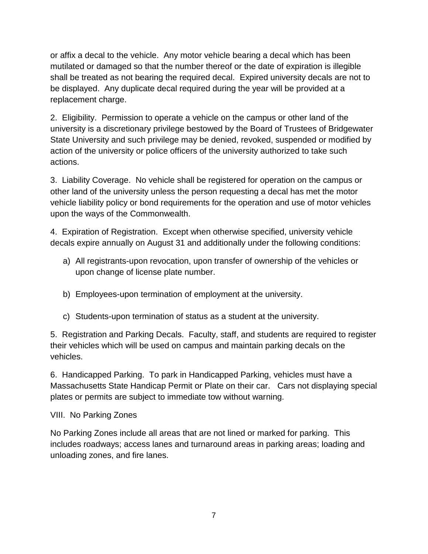or affix a decal to the vehicle. Any motor vehicle bearing a decal which has been mutilated or damaged so that the number thereof or the date of expiration is illegible shall be treated as not bearing the required decal. Expired university decals are not to be displayed. Any duplicate decal required during the year will be provided at a replacement charge.

2. Eligibility. Permission to operate a vehicle on the campus or other land of the university is a discretionary privilege bestowed by the Board of Trustees of Bridgewater State University and such privilege may be denied, revoked, suspended or modified by action of the university or police officers of the university authorized to take such actions.

3. Liability Coverage. No vehicle shall be registered for operation on the campus or other land of the university unless the person requesting a decal has met the motor vehicle liability policy or bond requirements for the operation and use of motor vehicles upon the ways of the Commonwealth.

4. Expiration of Registration. Except when otherwise specified, university vehicle decals expire annually on August 31 and additionally under the following conditions:

- a) All registrants-upon revocation, upon transfer of ownership of the vehicles or upon change of license plate number.
- b) Employees-upon termination of employment at the university.
- c) Students-upon termination of status as a student at the university.

5. Registration and Parking Decals. Faculty, staff, and students are required to register their vehicles which will be used on campus and maintain parking decals on the vehicles.

6. Handicapped Parking. To park in Handicapped Parking, vehicles must have a Massachusetts State Handicap Permit or Plate on their car. Cars not displaying special plates or permits are subject to immediate tow without warning.

## VIII. No Parking Zones

No Parking Zones include all areas that are not lined or marked for parking. This includes roadways; access lanes and turnaround areas in parking areas; loading and unloading zones, and fire lanes.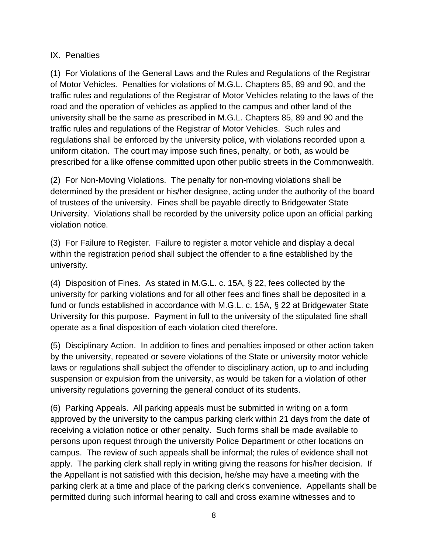## IX. Penalties

(1) For Violations of the General Laws and the Rules and Regulations of the Registrar of Motor Vehicles. Penalties for violations of M.G.L. Chapters 85, 89 and 90, and the traffic rules and regulations of the Registrar of Motor Vehicles relating to the laws of the road and the operation of vehicles as applied to the campus and other land of the university shall be the same as prescribed in M.G.L. Chapters 85, 89 and 90 and the traffic rules and regulations of the Registrar of Motor Vehicles. Such rules and regulations shall be enforced by the university police, with violations recorded upon a uniform citation. The court may impose such fines, penalty, or both, as would be prescribed for a like offense committed upon other public streets in the Commonwealth.

(2) For Non-Moving Violations. The penalty for non-moving violations shall be determined by the president or his/her designee, acting under the authority of the board of trustees of the university. Fines shall be payable directly to Bridgewater State University. Violations shall be recorded by the university police upon an official parking violation notice.

(3) For Failure to Register. Failure to register a motor vehicle and display a decal within the registration period shall subject the offender to a fine established by the university.

(4) Disposition of Fines. As stated in M.G.L. c. 15A, § 22, fees collected by the university for parking violations and for all other fees and fines shall be deposited in a fund or funds established in accordance with M.G.L. c. 15A, § 22 at Bridgewater State University for this purpose. Payment in full to the university of the stipulated fine shall operate as a final disposition of each violation cited therefore.

(5) Disciplinary Action. In addition to fines and penalties imposed or other action taken by the university, repeated or severe violations of the State or university motor vehicle laws or regulations shall subject the offender to disciplinary action, up to and including suspension or expulsion from the university, as would be taken for a violation of other university regulations governing the general conduct of its students.

(6) Parking Appeals. All parking appeals must be submitted in writing on a form approved by the university to the campus parking clerk within 21 days from the date of receiving a violation notice or other penalty. Such forms shall be made available to persons upon request through the university Police Department or other locations on campus. The review of such appeals shall be informal; the rules of evidence shall not apply. The parking clerk shall reply in writing giving the reasons for his/her decision. If the Appellant is not satisfied with this decision, he/she may have a meeting with the parking clerk at a time and place of the parking clerk's convenience. Appellants shall be permitted during such informal hearing to call and cross examine witnesses and to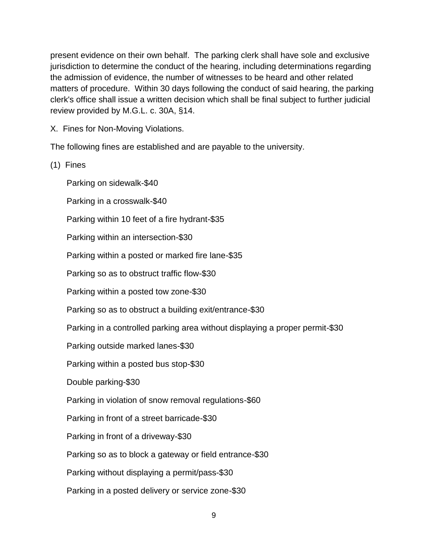present evidence on their own behalf. The parking clerk shall have sole and exclusive jurisdiction to determine the conduct of the hearing, including determinations regarding the admission of evidence, the number of witnesses to be heard and other related matters of procedure. Within 30 days following the conduct of said hearing, the parking clerk's office shall issue a written decision which shall be final subject to further judicial review provided by M.G.L. c. 30A, §14.

X. Fines for Non-Moving Violations.

The following fines are established and are payable to the university.

(1) Fines

Parking on sidewalk-\$40

Parking in a crosswalk-\$40

Parking within 10 feet of a fire hydrant-\$35

Parking within an intersection-\$30

Parking within a posted or marked fire lane-\$35

Parking so as to obstruct traffic flow-\$30

Parking within a posted tow zone-\$30

Parking so as to obstruct a building exit/entrance-\$30

Parking in a controlled parking area without displaying a proper permit-\$30

Parking outside marked lanes-\$30

Parking within a posted bus stop-\$30

Double parking-\$30

Parking in violation of snow removal regulations-\$60

Parking in front of a street barricade-\$30

Parking in front of a driveway-\$30

Parking so as to block a gateway or field entrance-\$30

Parking without displaying a permit/pass-\$30

Parking in a posted delivery or service zone-\$30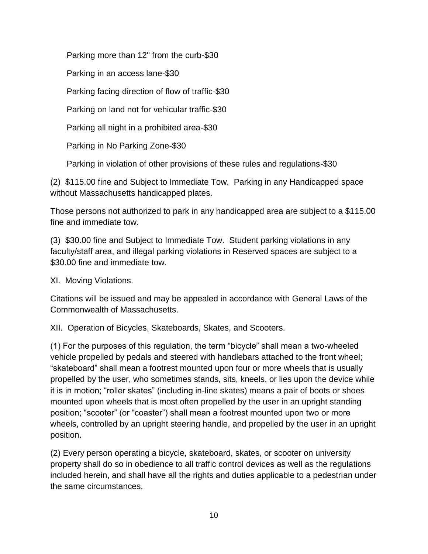Parking more than 12" from the curb-\$30

Parking in an access lane-\$30

Parking facing direction of flow of traffic-\$30

Parking on land not for vehicular traffic-\$30

Parking all night in a prohibited area-\$30

Parking in No Parking Zone-\$30

Parking in violation of other provisions of these rules and regulations-\$30

(2) \$115.00 fine and Subject to Immediate Tow. Parking in any Handicapped space without Massachusetts handicapped plates.

Those persons not authorized to park in any handicapped area are subject to a \$115.00 fine and immediate tow.

(3) \$30.00 fine and Subject to Immediate Tow. Student parking violations in any faculty/staff area, and illegal parking violations in Reserved spaces are subject to a \$30.00 fine and immediate tow.

XI. Moving Violations.

Citations will be issued and may be appealed in accordance with General Laws of the Commonwealth of Massachusetts.

XII. Operation of Bicycles, Skateboards, Skates, and Scooters.

(1) For the purposes of this regulation, the term "bicycle" shall mean a two-wheeled vehicle propelled by pedals and steered with handlebars attached to the front wheel; "skateboard" shall mean a footrest mounted upon four or more wheels that is usually propelled by the user, who sometimes stands, sits, kneels, or lies upon the device while it is in motion; "roller skates" (including in-line skates) means a pair of boots or shoes mounted upon wheels that is most often propelled by the user in an upright standing position; "scooter" (or "coaster") shall mean a footrest mounted upon two or more wheels, controlled by an upright steering handle, and propelled by the user in an upright position.

(2) Every person operating a bicycle, skateboard, skates, or scooter on university property shall do so in obedience to all traffic control devices as well as the regulations included herein, and shall have all the rights and duties applicable to a pedestrian under the same circumstances.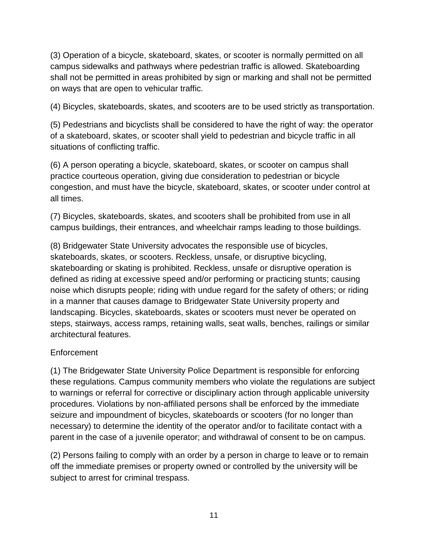(3) Operation of a bicycle, skateboard, skates, or scooter is normally permitted on all campus sidewalks and pathways where pedestrian traffic is allowed. Skateboarding shall not be permitted in areas prohibited by sign or marking and shall not be permitted on ways that are open to vehicular traffic.

(4) Bicycles, skateboards, skates, and scooters are to be used strictly as transportation.

(5) Pedestrians and bicyclists shall be considered to have the right of way: the operator of a skateboard, skates, or scooter shall yield to pedestrian and bicycle traffic in all situations of conflicting traffic.

(6) A person operating a bicycle, skateboard, skates, or scooter on campus shall practice courteous operation, giving due consideration to pedestrian or bicycle congestion, and must have the bicycle, skateboard, skates, or scooter under control at all times.

(7) Bicycles, skateboards, skates, and scooters shall be prohibited from use in all campus buildings, their entrances, and wheelchair ramps leading to those buildings.

(8) Bridgewater State University advocates the responsible use of bicycles, skateboards, skates, or scooters. Reckless, unsafe, or disruptive bicycling, skateboarding or skating is prohibited. Reckless, unsafe or disruptive operation is defined as riding at excessive speed and/or performing or practicing stunts; causing noise which disrupts people; riding with undue regard for the safety of others; or riding in a manner that causes damage to Bridgewater State University property and landscaping. Bicycles, skateboards, skates or scooters must never be operated on steps, stairways, access ramps, retaining walls, seat walls, benches, railings or similar architectural features.

## Enforcement

(1) The Bridgewater State University Police Department is responsible for enforcing these regulations. Campus community members who violate the regulations are subject to warnings or referral for corrective or disciplinary action through applicable university procedures. Violations by non-affiliated persons shall be enforced by the immediate seizure and impoundment of bicycles, skateboards or scooters (for no longer than necessary) to determine the identity of the operator and/or to facilitate contact with a parent in the case of a juvenile operator; and withdrawal of consent to be on campus.

(2) Persons failing to comply with an order by a person in charge to leave or to remain off the immediate premises or property owned or controlled by the university will be subject to arrest for criminal trespass.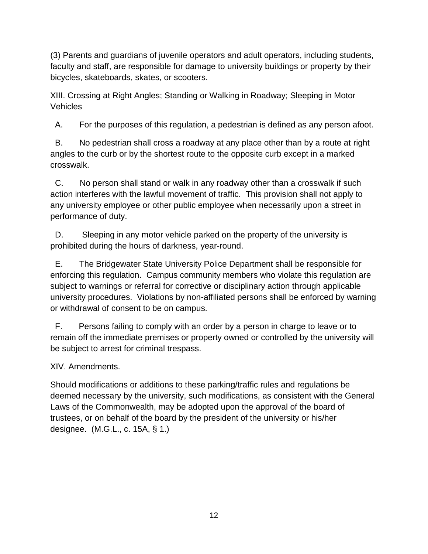(3) Parents and guardians of juvenile operators and adult operators, including students, faculty and staff, are responsible for damage to university buildings or property by their bicycles, skateboards, skates, or scooters.

XIII. Crossing at Right Angles; Standing or Walking in Roadway; Sleeping in Motor Vehicles

A. For the purposes of this regulation, a pedestrian is defined as any person afoot.

B. No pedestrian shall cross a roadway at any place other than by a route at right angles to the curb or by the shortest route to the opposite curb except in a marked crosswalk.

C. No person shall stand or walk in any roadway other than a crosswalk if such action interferes with the lawful movement of traffic. This provision shall not apply to any university employee or other public employee when necessarily upon a street in performance of duty.

D. Sleeping in any motor vehicle parked on the property of the university is prohibited during the hours of darkness, year-round.

E. The Bridgewater State University Police Department shall be responsible for enforcing this regulation. Campus community members who violate this regulation are subject to warnings or referral for corrective or disciplinary action through applicable university procedures. Violations by non-affiliated persons shall be enforced by warning or withdrawal of consent to be on campus.

F. Persons failing to comply with an order by a person in charge to leave or to remain off the immediate premises or property owned or controlled by the university will be subject to arrest for criminal trespass.

XIV. Amendments.

Should modifications or additions to these parking/traffic rules and regulations be deemed necessary by the university, such modifications, as consistent with the General Laws of the Commonwealth, may be adopted upon the approval of the board of trustees, or on behalf of the board by the president of the university or his/her designee. (M.G.L., c. 15A, § 1.)